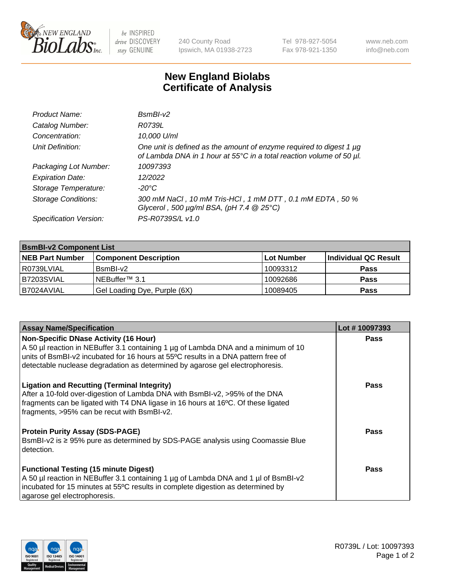

 $be$  INSPIRED drive DISCOVERY stay GENUINE

240 County Road Ipswich, MA 01938-2723 Tel 978-927-5054 Fax 978-921-1350 www.neb.com info@neb.com

## **New England Biolabs Certificate of Analysis**

| Product Name:              | $BsmBI-v2$                                                                                                                                  |
|----------------------------|---------------------------------------------------------------------------------------------------------------------------------------------|
| Catalog Number:            | R0739L                                                                                                                                      |
| Concentration:             | 10,000 U/ml                                                                                                                                 |
| Unit Definition:           | One unit is defined as the amount of enzyme required to digest 1 µg<br>of Lambda DNA in 1 hour at 55°C in a total reaction volume of 50 µl. |
| Packaging Lot Number:      | 10097393                                                                                                                                    |
| <b>Expiration Date:</b>    | 12/2022                                                                                                                                     |
| Storage Temperature:       | $-20^{\circ}$ C                                                                                                                             |
| <b>Storage Conditions:</b> | 300 mM NaCl, 10 mM Tris-HCl, 1 mM DTT, 0.1 mM EDTA, 50 %<br>Glycerol, 500 $\mu$ g/ml BSA, (pH 7.4 $@25°C$ )                                 |
| Specification Version:     | PS-R0739S/L v1.0                                                                                                                            |

| <b>BsmBI-v2 Component List</b> |                              |            |                      |  |  |
|--------------------------------|------------------------------|------------|----------------------|--|--|
| <b>NEB Part Number</b>         | <b>Component Description</b> | Lot Number | Individual QC Result |  |  |
| I R0739LVIAL                   | BsmBI-v2                     | 10093312   | <b>Pass</b>          |  |  |
| B7203SVIAL                     | INEBuffer™ 3.1               | 10092686   | <b>Pass</b>          |  |  |
| IB7024AVIAL                    | Gel Loading Dye, Purple (6X) | 10089405   | <b>Pass</b>          |  |  |

| <b>Assay Name/Specification</b>                                                                                                                                         | Lot #10097393 |
|-------------------------------------------------------------------------------------------------------------------------------------------------------------------------|---------------|
| <b>Non-Specific DNase Activity (16 Hour)</b>                                                                                                                            | <b>Pass</b>   |
| A 50 µl reaction in NEBuffer 3.1 containing 1 µg of Lambda DNA and a minimum of 10<br>units of BsmBI-v2 incubated for 16 hours at 55°C results in a DNA pattern free of |               |
| detectable nuclease degradation as determined by agarose gel electrophoresis.                                                                                           |               |
| <b>Ligation and Recutting (Terminal Integrity)</b>                                                                                                                      | Pass          |
| After a 10-fold over-digestion of Lambda DNA with BsmBI-v2, >95% of the DNA<br>fragments can be ligated with T4 DNA ligase in 16 hours at 16°C. Of these ligated        |               |
| fragments, >95% can be recut with BsmBI-v2.                                                                                                                             |               |
| <b>Protein Purity Assay (SDS-PAGE)</b>                                                                                                                                  | <b>Pass</b>   |
| BsmBI-v2 is ≥ 95% pure as determined by SDS-PAGE analysis using Coomassie Blue<br>detection.                                                                            |               |
|                                                                                                                                                                         |               |
| <b>Functional Testing (15 minute Digest)</b>                                                                                                                            | <b>Pass</b>   |
| A 50 µl reaction in NEBuffer 3.1 containing 1 µg of Lambda DNA and 1 µl of BsmBI-v2                                                                                     |               |
| incubated for 15 minutes at 55°C results in complete digestion as determined by                                                                                         |               |
| agarose gel electrophoresis.                                                                                                                                            |               |